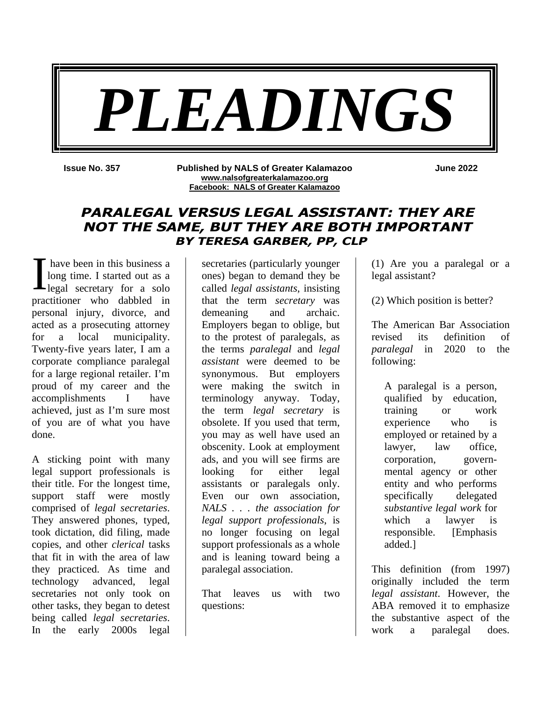

**Issue No. 357 Published by NALS of Greater Kalamazoo www.nalsofgreaterkalamazoo.org Facebook: NALS of Greater Kalamazoo**

**June 2022**

# **PARALEGAL VERSUS LEGAL ASSISTANT: THEY ARE NOT THE SAME, BUT THEY ARE BOTH IMPORTANT BY TERESA GARBER, PP, CLP**

 have been in this business a long time. I started out as a I have been in this business a<br>long time. I started out as a<br>legal secretary for a solo practitioner who dabbled in personal injury, divorce, and acted as a prosecuting attorney for a local municipality. Twenty-five years later, I am a corporate compliance paralegal for a large regional retailer. I'm proud of my career and the accomplishments I have achieved, just as I'm sure most of you are of what you have done.

A sticking point with many legal support professionals is their title. For the longest time, support staff were mostly comprised of *legal secretaries*. They answered phones, typed, took dictation, did filing, made copies, and other *clerical* tasks that fit in with the area of law they practiced. As time and technology advanced, legal secretaries not only took on other tasks, they began to detest being called *legal secretaries*. In the early 2000s legal

secretaries (particularly younger ones) began to demand they be called *legal assistants*, insisting that the term *secretary* was demeaning and archaic. Employers began to oblige, but to the protest of paralegals, as the terms *paralegal* and *legal assistant* were deemed to be synonymous. But employers were making the switch in terminology anyway. Today, the term *legal secretary* is obsolete. If you used that term, you may as well have used an obscenity. Look at employment ads, and you will see firms are looking for either legal assistants or paralegals only. Even our own association, *NALS . . . the association for legal support professionals*, is no longer focusing on legal support professionals as a whole and is leaning toward being a paralegal association.

That leaves us with two questions:

(1) Are you a paralegal or a legal assistant?

(2) Which position is better?

The American Bar Association revised its definition of *paralegal* in 2020 to the following:

A paralegal is a person, qualified by education, training or work experience who is employed or retained by a lawyer, law office, corporation, governmental agency or other entity and who performs specifically delegated *substantive legal work* for which a lawyer is responsible. [Emphasis added.]

This definition (from 1997) originally included the term *legal assistant*. However, the ABA removed it to emphasize the substantive aspect of the work a paralegal does.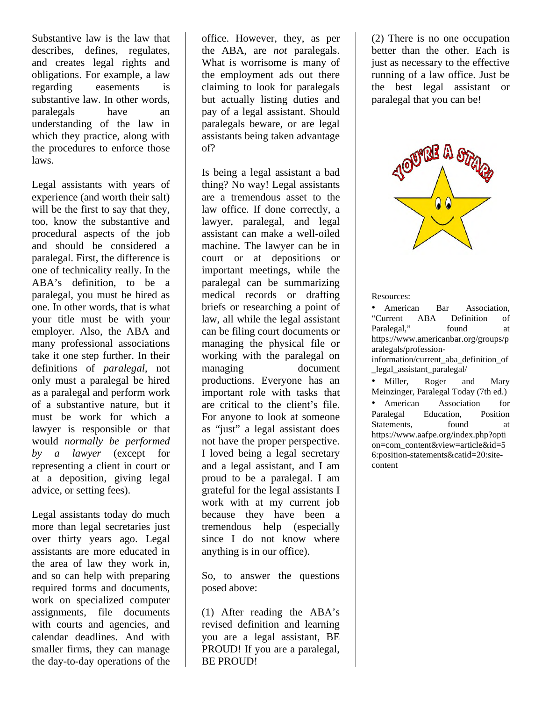Substantive law is the law that describes, defines, regulates, and creates legal rights and obligations. For example, a law regarding easements is substantive law. In other words, paralegals have an understanding of the law in which they practice, along with the procedures to enforce those laws.

Legal assistants with years of experience (and worth their salt) will be the first to say that they, too, know the substantive and procedural aspects of the job and should be considered a paralegal. First, the difference is one of technicality really. In the ABA's definition, to be a paralegal, you must be hired as one. In other words, that is what your title must be with your employer. Also, the ABA and many professional associations take it one step further. In their definitions of *paralegal*, not only must a paralegal be hired as a paralegal and perform work of a substantive nature, but it must be work for which a lawyer is responsible or that would *normally be performed by a lawyer* (except for representing a client in court or at a deposition, giving legal advice, or setting fees).

Legal assistants today do much more than legal secretaries just over thirty years ago. Legal assistants are more educated in the area of law they work in, and so can help with preparing required forms and documents, work on specialized computer assignments, file documents with courts and agencies, and calendar deadlines. And with smaller firms, they can manage the day-to-day operations of the

office. However, they, as per the ABA, are *not* paralegals. What is worrisome is many of the employment ads out there claiming to look for paralegals but actually listing duties and pay of a legal assistant. Should paralegals beware, or are legal assistants being taken advantage of?

Is being a legal assistant a bad thing? No way! Legal assistants are a tremendous asset to the law office. If done correctly, a lawyer, paralegal, and legal assistant can make a well-oiled machine. The lawyer can be in court or at depositions or important meetings, while the paralegal can be summarizing medical records or drafting briefs or researching a point of law, all while the legal assistant can be filing court documents or managing the physical file or working with the paralegal on managing document productions. Everyone has an important role with tasks that are critical to the client's file. For anyone to look at someone as "just" a legal assistant does not have the proper perspective. I loved being a legal secretary and a legal assistant, and I am proud to be a paralegal. I am grateful for the legal assistants I work with at my current job because they have been a tremendous help (especially since I do not know where anything is in our office).

So, to answer the questions posed above:

(1) After reading the ABA's revised definition and learning you are a legal assistant, BE PROUD! If you are a paralegal, BE PROUD!

(2) There is no one occupation better than the other. Each is just as necessary to the effective running of a law office. Just be the best legal assistant or paralegal that you can be!



Resources:

• American Bar Association, "Current ABA Definition of Paralegal," found at https://www.americanbar.org/groups/p aralegals/professioninformation/current\_aba\_definition\_of

\_legal\_assistant\_paralegal/

• Miller, Roger and Mary Meinzinger, Paralegal Today (7th ed.)

• American Association for Paralegal Education, Position Statements, found at https://www.aafpe.org/index.php?opti on=com\_content&view=article&id=5 6:position-statements&catid=20:sitecontent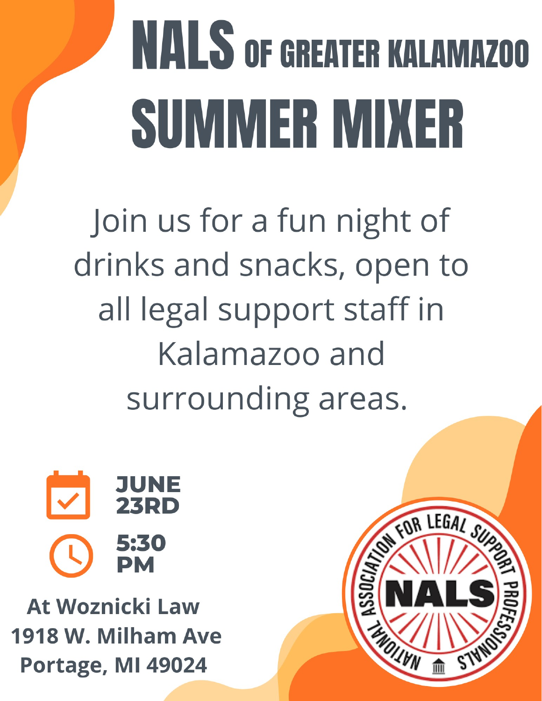# **NALS OF GREATER KALAMAZOO** SUMMER MIXER

Join us for a fun night of drinks and snacks, open to all legal support staff in Kalamazoo and surrounding areas.



**At Woznicki Law** 1918 W. Milham Ave Portage, MI 49024

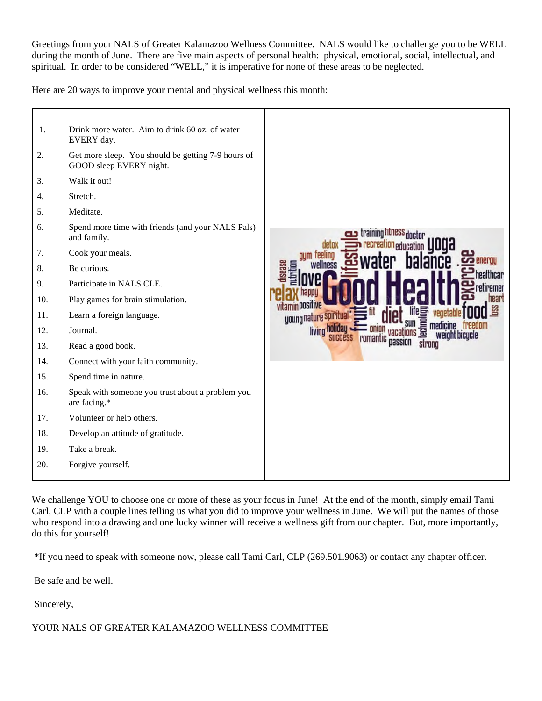Greetings from your NALS of Greater Kalamazoo Wellness Committee. NALS would like to challenge you to be WELL during the month of June. There are five main aspects of personal health: physical, emotional, social, intellectual, and spiritual. In order to be considered "WELL," it is imperative for none of these areas to be neglected.

Here are 20 ways to improve your mental and physical wellness this month:



We challenge YOU to choose one or more of these as your focus in June! At the end of the month, simply email Tami Carl, CLP with a couple lines telling us what you did to improve your wellness in June. We will put the names of those who respond into a drawing and one lucky winner will receive a wellness gift from our chapter. But, more importantly, do this for yourself!

\*If you need to speak with someone now, please call Tami Carl, CLP (269.501.9063) or contact any chapter officer.

Be safe and be well.

Sincerely,

#### YOUR NALS OF GREATER KALAMAZOO WELLNESS COMMITTEE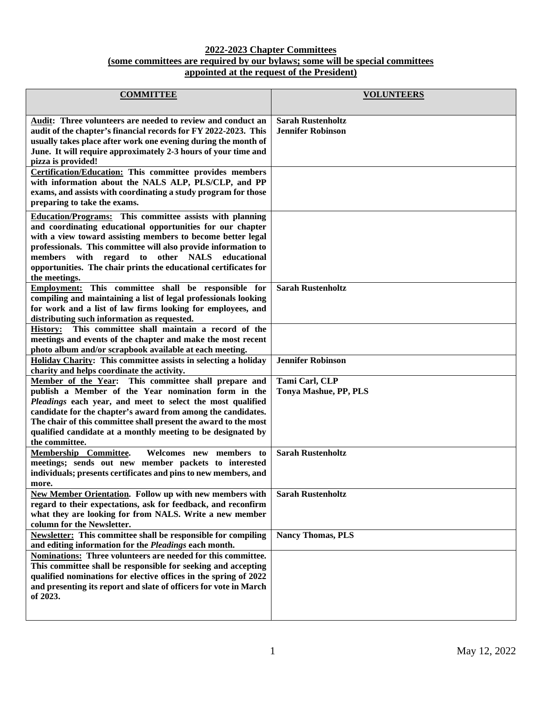#### **2022-2023 Chapter Committees (some committees are required by our bylaws; some will be special committees appointed at the request of the President)**

| <b>COMMITTEE</b>                                                                                                                                                                                                                                                                                                                                                                                           | <b>VOLUNTEERS</b>                                    |
|------------------------------------------------------------------------------------------------------------------------------------------------------------------------------------------------------------------------------------------------------------------------------------------------------------------------------------------------------------------------------------------------------------|------------------------------------------------------|
| Audit: Three volunteers are needed to review and conduct an<br>audit of the chapter's financial records for FY 2022-2023. This<br>usually takes place after work one evening during the month of<br>June. It will require approximately 2-3 hours of your time and<br>pizza is provided!                                                                                                                   | <b>Sarah Rustenholtz</b><br><b>Jennifer Robinson</b> |
| <b>Certification/Education:</b> This committee provides members<br>with information about the NALS ALP, PLS/CLP, and PP<br>exams, and assists with coordinating a study program for those<br>preparing to take the exams.                                                                                                                                                                                  |                                                      |
| <b>Education/Programs:</b> This committee assists with planning<br>and coordinating educational opportunities for our chapter<br>with a view toward assisting members to become better legal<br>professionals. This committee will also provide information to<br>regard to other NALS<br>members with<br>educational<br>opportunities. The chair prints the educational certificates for<br>the meetings. |                                                      |
| This committee shall be responsible for<br><b>Employment:</b><br>compiling and maintaining a list of legal professionals looking<br>for work and a list of law firms looking for employees, and<br>distributing such information as requested.                                                                                                                                                             | <b>Sarah Rustenholtz</b>                             |
| This committee shall maintain a record of the<br><b>History:</b><br>meetings and events of the chapter and make the most recent<br>photo album and/or scrapbook available at each meeting.                                                                                                                                                                                                                 |                                                      |
| Holiday Charity: This committee assists in selecting a holiday<br>charity and helps coordinate the activity.                                                                                                                                                                                                                                                                                               | <b>Jennifer Robinson</b>                             |
| Member of the Year: This committee shall prepare and<br>publish a Member of the Year nomination form in the<br>Pleadings each year, and meet to select the most qualified<br>candidate for the chapter's award from among the candidates.<br>The chair of this committee shall present the award to the most<br>qualified candidate at a monthly meeting to be designated by<br>the committee.             | Tami Carl, CLP<br>Tonya Mashue, PP, PLS              |
| Membership Committee.<br>Welcomes new members to<br>meetings; sends out new member packets to interested<br>individuals; presents certificates and pins to new members, and<br>more.                                                                                                                                                                                                                       | <b>Sarah Rustenholtz</b>                             |
| <b>New Member Orientation.</b> Follow up with new members with<br>regard to their expectations, ask for feedback, and reconfirm<br>what they are looking for from NALS. Write a new member<br>column for the Newsletter.                                                                                                                                                                                   | <b>Sarah Rustenholtz</b>                             |
| <b>Newsletter:</b> This committee shall be responsible for compiling<br>and editing information for the Pleadings each month.                                                                                                                                                                                                                                                                              | <b>Nancy Thomas, PLS</b>                             |
| Nominations: Three volunteers are needed for this committee.<br>This committee shall be responsible for seeking and accepting<br>qualified nominations for elective offices in the spring of 2022<br>and presenting its report and slate of officers for vote in March<br>of 2023.                                                                                                                         |                                                      |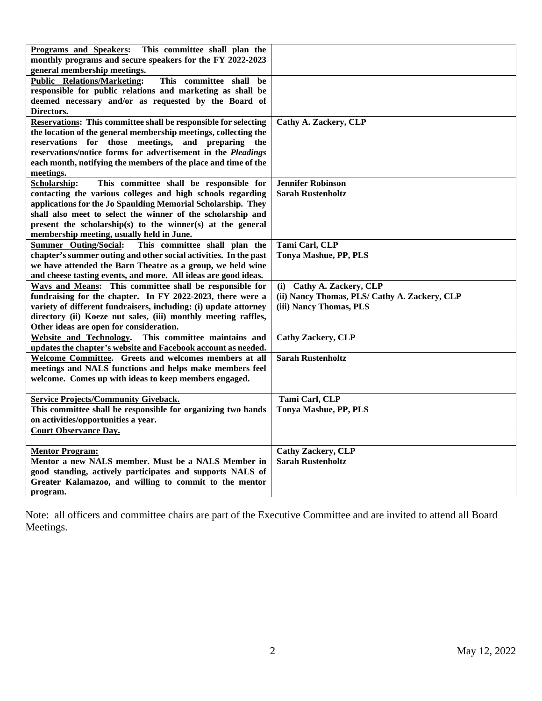| <b>Programs and Speakers:</b><br>This committee shall plan the         |                                               |
|------------------------------------------------------------------------|-----------------------------------------------|
| monthly programs and secure speakers for the FY 2022-2023              |                                               |
| general membership meetings.                                           |                                               |
| <b>Public Relations/Marketing:</b><br>This committee shall be          |                                               |
| responsible for public relations and marketing as shall be             |                                               |
| deemed necessary and/or as requested by the Board of                   |                                               |
| Directors.                                                             |                                               |
| <b>Reservations:</b> This committee shall be responsible for selecting | Cathy A. Zackery, CLP                         |
| the location of the general membership meetings, collecting the        |                                               |
| reservations for those meetings, and preparing the                     |                                               |
| reservations/notice forms for advertisement in the Pleadings           |                                               |
| each month, notifying the members of the place and time of the         |                                               |
| meetings.                                                              |                                               |
| Scholarship:<br>This committee shall be responsible for                | <b>Jennifer Robinson</b>                      |
| contacting the various colleges and high schools regarding             | <b>Sarah Rustenholtz</b>                      |
| applications for the Jo Spaulding Memorial Scholarship. They           |                                               |
| shall also meet to select the winner of the scholarship and            |                                               |
| present the scholarship(s) to the winner(s) at the general             |                                               |
| membership meeting, usually held in June.                              |                                               |
| <b>Summer</b> Outing/Social:<br>This committee shall plan the          | Tami Carl, CLP                                |
| chapter's summer outing and other social activities. In the past       | Tonya Mashue, PP, PLS                         |
| we have attended the Barn Theatre as a group, we held wine             |                                               |
| and cheese tasting events, and more. All ideas are good ideas.         |                                               |
| Ways and Means: This committee shall be responsible for                | (i) Cathy A. Zackery, CLP                     |
| fundraising for the chapter. In FY 2022-2023, there were a             | (ii) Nancy Thomas, PLS/ Cathy A. Zackery, CLP |
| variety of different fundraisers, including: (i) update attorney       | (iii) Nancy Thomas, PLS                       |
| directory (ii) Koeze nut sales, (iii) monthly meeting raffles,         |                                               |
| Other ideas are open for consideration.                                |                                               |
| This committee maintains and<br>Website and Technology.                | <b>Cathy Zackery, CLP</b>                     |
| updates the chapter's website and Facebook account as needed.          |                                               |
| Welcome Committee. Greets and welcomes members at all                  | <b>Sarah Rustenholtz</b>                      |
| meetings and NALS functions and helps make members feel                |                                               |
| welcome. Comes up with ideas to keep members engaged.                  |                                               |
|                                                                        |                                               |
| <b>Service Projects/Community Giveback.</b>                            | Tami Carl, CLP                                |
| This committee shall be responsible for organizing two hands           | <b>Tonya Mashue, PP, PLS</b>                  |
| on activities/opportunities a year.                                    |                                               |
| <b>Court Observance Day.</b>                                           |                                               |
|                                                                        |                                               |
| <b>Mentor Program:</b>                                                 | <b>Cathy Zackery, CLP</b>                     |
| Mentor a new NALS member. Must be a NALS Member in                     | <b>Sarah Rustenholtz</b>                      |
| good standing, actively participates and supports NALS of              |                                               |
| Greater Kalamazoo, and willing to commit to the mentor                 |                                               |
| program.                                                               |                                               |

Note: all officers and committee chairs are part of the Executive Committee and are invited to attend all Board Meetings.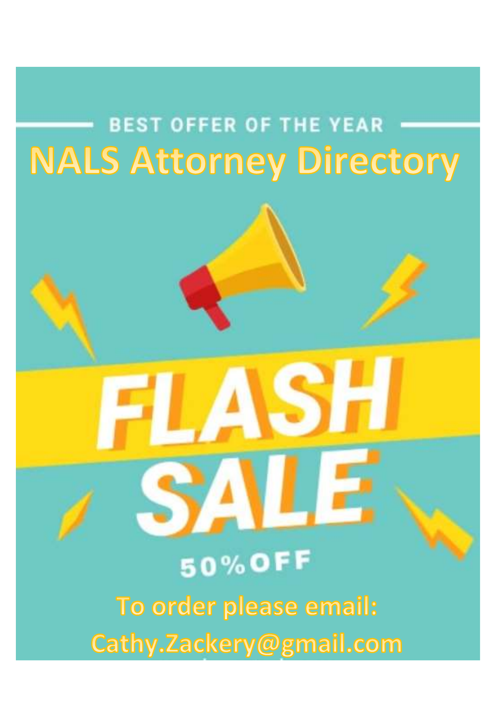# **BEST OFFER OF THE YEAR NALS Attorney Directory**